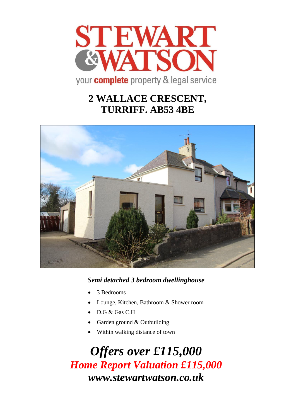

# **2 WALLACE CRESCENT, TURRIFF. AB53 4BE**



*Semi detached 3 bedroom dwellinghouse*

- 3 Bedrooms
- Lounge, Kitchen, Bathroom & Shower room
- D.G & Gas C.H
- Garden ground & Outbuilding
- Within walking distance of town

*Offers over £115,000 Home Report Valuation £115,000 www.stewartwatson.co.uk*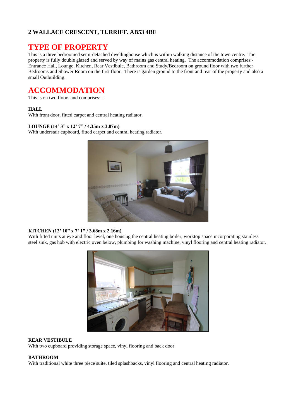### **2 WALLACE CRESCENT, TURRIFF. AB53 4BE**

# **TYPE OF PROPERTY**

This is a three bedroomed semi-detached dwellinghouse which is within walking distance of the town centre. The property is fully double glazed and served by way of mains gas central heating. The accommodation comprises:- Entrance Hall, Lounge, Kitchen, Rear Vestibule, Bathroom and Study/Bedroom on ground floor with two further Bedrooms and Shower Room on the first floor. There is garden ground to the front and rear of the property and also a small Outbuilding.

# **ACCOMMODATION**

This is on two floors and comprises: -

#### **HALL**

With front door, fitted carpet and central heating radiator.

#### **LOUNGE (14' 3" x 12' 7" / 4.35m x 3.87m)**

With understair cupboard, fitted carpet and central heating radiator.



#### **KITCHEN (12' 10" x 7' 1" / 3.68m x 2.16m)**

With fitted units at eye and floor level, one housing the central heating boiler, worktop space incorporating stainless steel sink, gas hob with electric oven below, plumbing for washing machine, vinyl flooring and central heating radiator.



#### **REAR VESTIBULE**

With two cupboard providing storage space, vinyl flooring and back door.

#### **BATHROOM**

With traditional white three piece suite, tiled splashbacks, vinyl flooring and central heating radiator.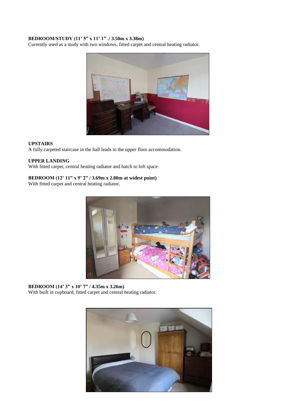#### **BEDROOM/STUDY (11' 5" x 11' 1" ./ 3.50m x 3.38m)**

Currently used as a study with two windows, fitted carpet and central heating radiator.



#### **UPSTAIRS**

A fully carpeted staircase in the hall leads to the upper floor accommodation.

#### **UPPER LANDING**

With fitted carpet, central heating radiator and hatch to loft space.

#### **BEDROOM (12' 11" x 9' 2" / 3.69m x 2.80m at widest point)**

With fitted carpet and central heating radiator.



**BEDROOM (14' 3" x 10' 7" / 4.35m x 3.26m)** With built in cupboard, fitted carpet and central heating radiator.